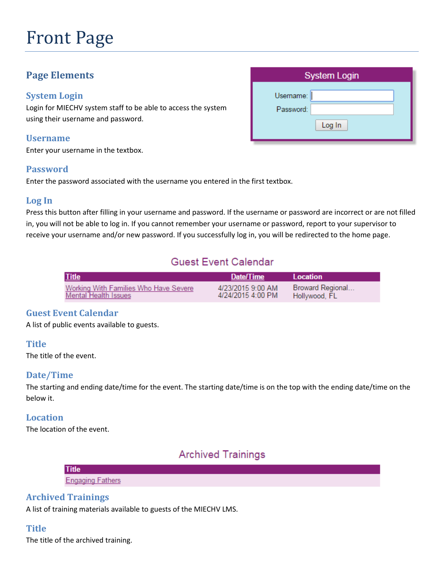# Front Page

# **Page Elements**

#### **System Login**

Login for MIECHV system staff to be able to access the system using their username and password.

#### **Username**

Enter your username in the textbox.

#### **Password**

Enter the password associated with the username you entered in the first textbox.

#### **Log In**

Press this button after filling in your username and password. If the username or password are incorrect or are not filled in, you will not be able to log in. If you cannot remember your username or password, report to your supervisor to receive your username and/or new password. If you successfully log in, you will be redirected to the home page.

# **Guest Event Calendar**

| <b>Title</b>                          | Date/Time         | Location         |
|---------------------------------------|-------------------|------------------|
| Working With Families Who Have Severe | 4/23/2015 9:00 AM | Broward Regional |
| <b>Mental Health Issues</b>           | 4/24/2015 4:00 PM | Hollywood, FL    |

#### **Guest Event Calendar**

A list of public events available to guests.

#### **Title**

The title of the event.

#### **Date/Time**

The starting and ending date/time for the event. The starting date/time is on the top with the ending date/time on the below it.

#### **Location**

The location of the event.

## **Archived Trainings**

| <b>Title</b>            |  |  |
|-------------------------|--|--|
| <b>Engaging Fathers</b> |  |  |

#### **Archived Trainings**

A list of training materials available to guests of the MIECHV LMS.

#### **Title**

The title of the archived training.

| <b>System Login</b>              |  |  |
|----------------------------------|--|--|
| Username:<br>Password:<br>Log In |  |  |